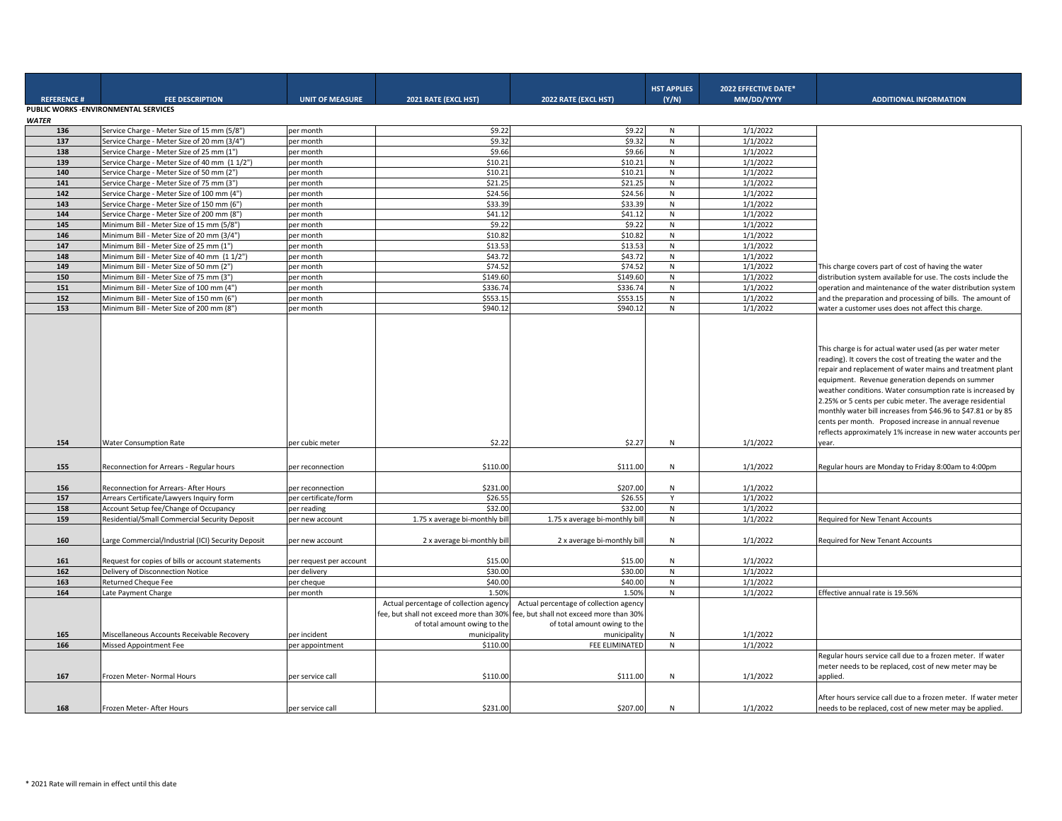| <b>REFERENCE#</b> | <b>FEE DESCRIPTION</b>                             | <b>UNIT OF MEASURE</b>  | 2021 RATE (EXCL HST)                                                                                                              | 2022 RATE (EXCL HST)                                                                                                              | <b>HST APPLIES</b><br>(Y/N) | 2022 EFFECTIVE DATE*<br>MM/DD/YYYY | <b>ADDITIONAL INFORMATION</b>                                                                                                                                                                                                                                                                                                                                                                                                                                                                                                                                       |
|-------------------|----------------------------------------------------|-------------------------|-----------------------------------------------------------------------------------------------------------------------------------|-----------------------------------------------------------------------------------------------------------------------------------|-----------------------------|------------------------------------|---------------------------------------------------------------------------------------------------------------------------------------------------------------------------------------------------------------------------------------------------------------------------------------------------------------------------------------------------------------------------------------------------------------------------------------------------------------------------------------------------------------------------------------------------------------------|
|                   | PUBLIC WORKS - ENVIRONMENTAL SERVICES              |                         |                                                                                                                                   |                                                                                                                                   |                             |                                    |                                                                                                                                                                                                                                                                                                                                                                                                                                                                                                                                                                     |
| <b>WATER</b>      |                                                    |                         |                                                                                                                                   |                                                                                                                                   |                             |                                    |                                                                                                                                                                                                                                                                                                                                                                                                                                                                                                                                                                     |
| 136               | Service Charge - Meter Size of 15 mm (5/8")        | per month               | \$9.22                                                                                                                            | \$9.22                                                                                                                            | N                           | 1/1/2022                           |                                                                                                                                                                                                                                                                                                                                                                                                                                                                                                                                                                     |
| 137               | Service Charge - Meter Size of 20 mm (3/4")        | per month               | \$9.32                                                                                                                            | \$9.32                                                                                                                            | ${\sf N}$                   | 1/1/2022                           |                                                                                                                                                                                                                                                                                                                                                                                                                                                                                                                                                                     |
| 138               | Service Charge - Meter Size of 25 mm (1")          | per month               | \$9.66                                                                                                                            | \$9.66                                                                                                                            | N                           | 1/1/2022                           |                                                                                                                                                                                                                                                                                                                                                                                                                                                                                                                                                                     |
| 139               | Service Charge - Meter Size of 40 mm (1 1/2")      | per month               | \$10.21                                                                                                                           | \$10.21                                                                                                                           | ${\sf N}$                   | 1/1/2022                           |                                                                                                                                                                                                                                                                                                                                                                                                                                                                                                                                                                     |
| 140               | Service Charge - Meter Size of 50 mm (2")          | per month               | \$10.21                                                                                                                           | \$10.21                                                                                                                           | ${\sf N}$                   | 1/1/2022                           |                                                                                                                                                                                                                                                                                                                                                                                                                                                                                                                                                                     |
| 141               | Service Charge - Meter Size of 75 mm (3")          | per month               | \$21.25                                                                                                                           | \$21.25                                                                                                                           | ${\sf N}$                   | 1/1/2022                           |                                                                                                                                                                                                                                                                                                                                                                                                                                                                                                                                                                     |
| 142               | Service Charge - Meter Size of 100 mm (4")         | per month               | \$24.56                                                                                                                           | \$24.56                                                                                                                           | ${\sf N}$                   | 1/1/2022                           |                                                                                                                                                                                                                                                                                                                                                                                                                                                                                                                                                                     |
| 143               | Service Charge - Meter Size of 150 mm (6")         | per month               | \$33.39                                                                                                                           | \$33.39                                                                                                                           | ${\sf N}$                   | 1/1/2022                           |                                                                                                                                                                                                                                                                                                                                                                                                                                                                                                                                                                     |
| 144               | Service Charge - Meter Size of 200 mm (8")         | per month               | \$41.12                                                                                                                           | \$41.12                                                                                                                           | ${\sf N}$                   | 1/1/2022                           |                                                                                                                                                                                                                                                                                                                                                                                                                                                                                                                                                                     |
| 145               | Minimum Bill - Meter Size of 15 mm (5/8")          | per month               | \$9.22                                                                                                                            | \$9.22                                                                                                                            | N                           | 1/1/2022                           |                                                                                                                                                                                                                                                                                                                                                                                                                                                                                                                                                                     |
| 146               | Minimum Bill - Meter Size of 20 mm (3/4")          | per month               | \$10.82                                                                                                                           | \$10.82                                                                                                                           | ${\sf N}$                   | 1/1/2022                           |                                                                                                                                                                                                                                                                                                                                                                                                                                                                                                                                                                     |
| 147               | Minimum Bill - Meter Size of 25 mm (1")            | per month               | \$13.53                                                                                                                           | \$13.53                                                                                                                           | N                           | 1/1/2022                           |                                                                                                                                                                                                                                                                                                                                                                                                                                                                                                                                                                     |
| 148               | Minimum Bill - Meter Size of 40 mm (1 1/2")        | per month               | \$43.72                                                                                                                           | \$43.72                                                                                                                           | ${\sf N}$                   | 1/1/2022                           |                                                                                                                                                                                                                                                                                                                                                                                                                                                                                                                                                                     |
| 149               | Minimum Bill - Meter Size of 50 mm (2")            | per month               | \$74.52                                                                                                                           | \$74.52                                                                                                                           | ${\sf N}$                   | 1/1/2022                           | This charge covers part of cost of having the water                                                                                                                                                                                                                                                                                                                                                                                                                                                                                                                 |
| 150               | Minimum Bill - Meter Size of 75 mm (3")            | per month               | \$149.60                                                                                                                          | \$149.60                                                                                                                          | ${\sf N}$                   | 1/1/2022                           | distribution system available for use. The costs include the                                                                                                                                                                                                                                                                                                                                                                                                                                                                                                        |
| 151               | Minimum Bill - Meter Size of 100 mm (4")           | per month               | \$336.74                                                                                                                          | \$336.74                                                                                                                          | ${\sf N}$                   | 1/1/2022                           | operation and maintenance of the water distribution system                                                                                                                                                                                                                                                                                                                                                                                                                                                                                                          |
| 152               | Minimum Bill - Meter Size of 150 mm (6")           | per month               | \$553.15                                                                                                                          | \$553.15                                                                                                                          | N                           | 1/1/2022                           | and the preparation and processing of bills. The amount of                                                                                                                                                                                                                                                                                                                                                                                                                                                                                                          |
| 153               | Minimum Bill - Meter Size of 200 mm (8")           | per month               | \$940.12                                                                                                                          | \$940.12                                                                                                                          | ${\sf N}$                   | 1/1/2022                           | water a customer uses does not affect this charge.                                                                                                                                                                                                                                                                                                                                                                                                                                                                                                                  |
| 154               | <b>Water Consumption Rate</b>                      | per cubic meter         | \$2.22                                                                                                                            | \$2.27                                                                                                                            | N                           | 1/1/2022                           | This charge is for actual water used (as per water meter<br>reading). It covers the cost of treating the water and the<br>repair and replacement of water mains and treatment plant<br>equipment. Revenue generation depends on summer<br>weather conditions. Water consumption rate is increased by<br>2.25% or 5 cents per cubic meter. The average residential<br>monthly water bill increases from \$46.96 to \$47.81 or by 85<br>cents per month. Proposed increase in annual revenue<br>reflects approximately 1% increase in new water accounts per<br>year. |
| 155               | Reconnection for Arrears - Regular hours           | per reconnection        | \$110.00                                                                                                                          | \$111.00                                                                                                                          | N                           | 1/1/2022                           | Regular hours are Monday to Friday 8:00am to 4:00pm                                                                                                                                                                                                                                                                                                                                                                                                                                                                                                                 |
| 156               | Reconnection for Arrears- After Hours              | per reconnection        | \$231.00                                                                                                                          | \$207.00                                                                                                                          | N                           | 1/1/2022                           |                                                                                                                                                                                                                                                                                                                                                                                                                                                                                                                                                                     |
| 157               | Arrears Certificate/Lawyers Inquiry form           | per certificate/form    | \$26.55                                                                                                                           | \$26.55                                                                                                                           | Y                           | 1/1/2022                           |                                                                                                                                                                                                                                                                                                                                                                                                                                                                                                                                                                     |
| 158               | Account Setup fee/Change of Occupancy              | per reading             | \$32.00                                                                                                                           | \$32.00                                                                                                                           | N                           | 1/1/2022                           |                                                                                                                                                                                                                                                                                                                                                                                                                                                                                                                                                                     |
| 159               | Residential/Small Commercial Security Deposit      | per new account         | 1.75 x average bi-monthly bil                                                                                                     | 1.75 x average bi-monthly bill                                                                                                    | ${\sf N}$                   | 1/1/2022                           | Required for New Tenant Accounts                                                                                                                                                                                                                                                                                                                                                                                                                                                                                                                                    |
| 160               | Large Commercial/Industrial (ICI) Security Deposit | per new account         | 2 x average bi-monthly bil                                                                                                        | 2 x average bi-monthly bill                                                                                                       | N                           | 1/1/2022                           | Required for New Tenant Accounts                                                                                                                                                                                                                                                                                                                                                                                                                                                                                                                                    |
| 161               | Request for copies of bills or account statements  | per request per account | \$15.00                                                                                                                           | \$15.00                                                                                                                           | N                           | 1/1/2022                           |                                                                                                                                                                                                                                                                                                                                                                                                                                                                                                                                                                     |
| 162               | Delivery of Disconnection Notice                   | per delivery            | \$30.00                                                                                                                           | \$30.00                                                                                                                           | ${\sf N}$                   | 1/1/2022                           |                                                                                                                                                                                                                                                                                                                                                                                                                                                                                                                                                                     |
| 163               | Returned Cheque Fee                                | per cheque              | \$40.00                                                                                                                           | \$40.00                                                                                                                           | ${\sf N}$                   | 1/1/2022                           |                                                                                                                                                                                                                                                                                                                                                                                                                                                                                                                                                                     |
| 164               | Late Payment Charge                                | per month               | 1.50%                                                                                                                             | 1.50%                                                                                                                             | N                           | 1/1/2022                           | Effective annual rate is 19.56%                                                                                                                                                                                                                                                                                                                                                                                                                                                                                                                                     |
| 165               | Miscellaneous Accounts Receivable Recovery         | per incident            | Actual percentage of collection agency<br>fee, but shall not exceed more than 30%<br>of total amount owing to the<br>municipality | Actual percentage of collection agency<br>fee, but shall not exceed more than 30%<br>of total amount owing to the<br>municipality | N                           | 1/1/2022                           |                                                                                                                                                                                                                                                                                                                                                                                                                                                                                                                                                                     |
| 166               | <b>Missed Appointment Fee</b>                      | per appointment         | \$110.00                                                                                                                          | FEE ELIMINATED                                                                                                                    | ${\sf N}$                   | 1/1/2022                           |                                                                                                                                                                                                                                                                                                                                                                                                                                                                                                                                                                     |
| 167               | Frozen Meter- Normal Hours                         | per service call        | \$110.00                                                                                                                          | \$111.00                                                                                                                          | N                           | 1/1/2022                           | Regular hours service call due to a frozen meter. If water<br>meter needs to be replaced, cost of new meter may be<br>applied.                                                                                                                                                                                                                                                                                                                                                                                                                                      |
| 168               | Frozen Meter- After Hours                          | per service call        | \$231.00                                                                                                                          | \$207.00                                                                                                                          | N                           | 1/1/2022                           | After hours service call due to a frozen meter. If water meter<br>needs to be replaced, cost of new meter may be applied.                                                                                                                                                                                                                                                                                                                                                                                                                                           |
|                   |                                                    |                         |                                                                                                                                   |                                                                                                                                   |                             |                                    |                                                                                                                                                                                                                                                                                                                                                                                                                                                                                                                                                                     |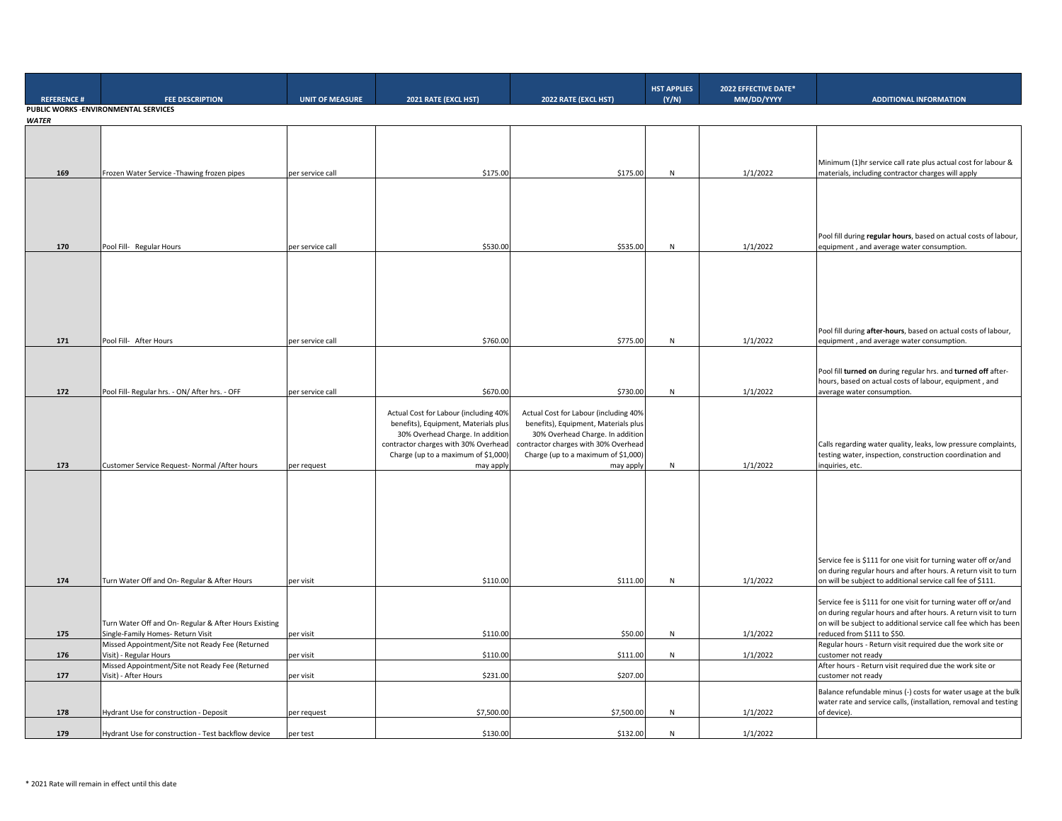| <b>REFERENCE#</b> | <b>FEE DESCRIPTION</b>                                                                    | <b>UNIT OF MEASURE</b> | 2021 RATE (EXCL HST)                                                                                                                                                                                          | 2022 RATE (EXCL HST)                                                                                                                                                                                          | <b>HST APPLIES</b><br>(Y/N) | 2022 EFFECTIVE DATE*<br>MM/DD/YYYY | <b>ADDITIONAL INFORMATION</b>                                                                                                                                                                                                         |
|-------------------|-------------------------------------------------------------------------------------------|------------------------|---------------------------------------------------------------------------------------------------------------------------------------------------------------------------------------------------------------|---------------------------------------------------------------------------------------------------------------------------------------------------------------------------------------------------------------|-----------------------------|------------------------------------|---------------------------------------------------------------------------------------------------------------------------------------------------------------------------------------------------------------------------------------|
|                   | PUBLIC WORKS - ENVIRONMENTAL SERVICES                                                     |                        |                                                                                                                                                                                                               |                                                                                                                                                                                                               |                             |                                    |                                                                                                                                                                                                                                       |
| <b>WATER</b>      |                                                                                           |                        |                                                                                                                                                                                                               |                                                                                                                                                                                                               |                             |                                    |                                                                                                                                                                                                                                       |
| 169               | Frozen Water Service - Thawing frozen pipes                                               | per service call       | \$175.00                                                                                                                                                                                                      | \$175.00                                                                                                                                                                                                      | ${\sf N}$                   | 1/1/2022                           | Minimum (1)hr service call rate plus actual cost for labour &<br>materials, including contractor charges will apply                                                                                                                   |
| 170               | Pool Fill- Regular Hours                                                                  | per service call       | \$530.00                                                                                                                                                                                                      | \$535.00                                                                                                                                                                                                      | ${\sf N}$                   | 1/1/2022                           | Pool fill during regular hours, based on actual costs of labour,<br>equipment, and average water consumption.                                                                                                                         |
|                   |                                                                                           |                        |                                                                                                                                                                                                               |                                                                                                                                                                                                               |                             |                                    | Pool fill during after-hours, based on actual costs of labour,                                                                                                                                                                        |
| 171               | Pool Fill- After Hours                                                                    | per service call       | \$760.00                                                                                                                                                                                                      | \$775.00                                                                                                                                                                                                      | N                           | 1/1/2022                           | equipment, and average water consumption.                                                                                                                                                                                             |
| 172               | Pool Fill- Regular hrs. - ON/ After hrs. - OFF                                            | per service call       | \$670.00                                                                                                                                                                                                      | \$730.00                                                                                                                                                                                                      | ${\sf N}$                   | 1/1/2022                           | Pool fill turned on during regular hrs. and turned off after-<br>hours, based on actual costs of labour, equipment, and<br>average water consumption.                                                                                 |
| 173               | Customer Service Request- Normal / After hours                                            | per request            | Actual Cost for Labour (including 40%<br>benefits), Equipment, Materials plus<br>30% Overhead Charge. In addition<br>contractor charges with 30% Overhead<br>Charge (up to a maximum of \$1,000)<br>may apply | Actual Cost for Labour (including 40%<br>benefits), Equipment, Materials plus<br>30% Overhead Charge. In addition<br>contractor charges with 30% Overhead<br>Charge (up to a maximum of \$1,000)<br>may apply | N                           | 1/1/2022                           | Calls regarding water quality, leaks, low pressure complaints,<br>testing water, inspection, construction coordination and<br>inquiries, etc.                                                                                         |
|                   |                                                                                           |                        |                                                                                                                                                                                                               |                                                                                                                                                                                                               |                             |                                    | Service fee is \$111 for one visit for turning water off or/and                                                                                                                                                                       |
| 174               | Turn Water Off and On-Regular & After Hours                                               | per visit              | \$110.00                                                                                                                                                                                                      | \$111.00                                                                                                                                                                                                      | N                           | 1/1/2022                           | on during regular hours and after hours. A return visit to turn<br>on will be subject to additional service call fee of \$111.                                                                                                        |
| 175               | Turn Water Off and On-Regular & After Hours Existing<br>Single-Family Homes- Return Visit | per visit              | \$110.00                                                                                                                                                                                                      | \$50.00                                                                                                                                                                                                       | N                           | 1/1/2022                           | Service fee is \$111 for one visit for turning water off or/and<br>on during regular hours and after hours. A return visit to turn<br>on will be subject to additional service call fee which has been<br>reduced from \$111 to \$50. |
|                   | Missed Appointment/Site not Ready Fee (Returned                                           |                        |                                                                                                                                                                                                               |                                                                                                                                                                                                               |                             |                                    | Regular hours - Return visit required due the work site or                                                                                                                                                                            |
| 176               | Visit) - Regular Hours                                                                    | per visit              | \$110.00                                                                                                                                                                                                      | \$111.00                                                                                                                                                                                                      | $\mathsf{N}$                | 1/1/2022                           | customer not ready                                                                                                                                                                                                                    |
| 177               | Missed Appointment/Site not Ready Fee (Returned<br>Visit) - After Hours                   |                        | \$231.00                                                                                                                                                                                                      | \$207.00                                                                                                                                                                                                      |                             |                                    | After hours - Return visit required due the work site or                                                                                                                                                                              |
|                   |                                                                                           | per visit              |                                                                                                                                                                                                               |                                                                                                                                                                                                               |                             |                                    | customer not ready                                                                                                                                                                                                                    |
| 178               | <b>Hydrant Use for construction - Deposit</b>                                             | per request            | \$7,500.00                                                                                                                                                                                                    | \$7,500.00                                                                                                                                                                                                    | N                           | 1/1/2022                           | Balance refundable minus (-) costs for water usage at the bulk<br>water rate and service calls, (installation, removal and testing<br>of device).                                                                                     |
| 179               | Hydrant Use for construction - Test backflow device                                       | per test               | \$130.00                                                                                                                                                                                                      | \$132.00                                                                                                                                                                                                      | N                           | 1/1/2022                           |                                                                                                                                                                                                                                       |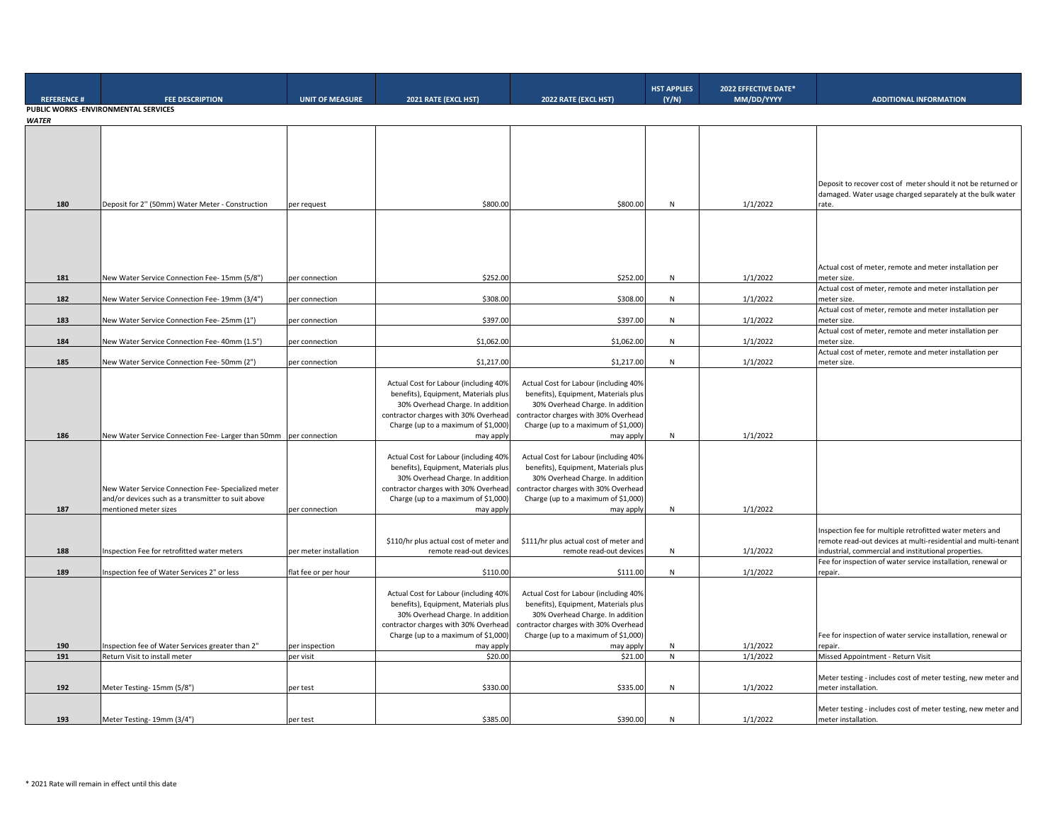|                   |                                                                                                                                    |                        |                                                                                                                                                                                                               |                                                                                                                                                                                                               | <b>HST APPLIES</b> | 2022 EFFECTIVE DATE* |                                                                                                                                                                                  |
|-------------------|------------------------------------------------------------------------------------------------------------------------------------|------------------------|---------------------------------------------------------------------------------------------------------------------------------------------------------------------------------------------------------------|---------------------------------------------------------------------------------------------------------------------------------------------------------------------------------------------------------------|--------------------|----------------------|----------------------------------------------------------------------------------------------------------------------------------------------------------------------------------|
| <b>REFERENCE#</b> | <b>FEE DESCRIPTION</b>                                                                                                             | <b>UNIT OF MEASURE</b> | 2021 RATE (EXCL HST)                                                                                                                                                                                          | 2022 RATE (EXCL HST)                                                                                                                                                                                          | (Y/N)              | MM/DD/YYYY           | <b>ADDITIONAL INFORMATION</b>                                                                                                                                                    |
|                   | PUBLIC WORKS - ENVIRONMENTAL SERVICES                                                                                              |                        |                                                                                                                                                                                                               |                                                                                                                                                                                                               |                    |                      |                                                                                                                                                                                  |
| <b>WATER</b>      |                                                                                                                                    |                        |                                                                                                                                                                                                               |                                                                                                                                                                                                               |                    |                      |                                                                                                                                                                                  |
| 180               | Deposit for 2" (50mm) Water Meter - Construction                                                                                   | per request            | \$800.00                                                                                                                                                                                                      | \$800.00                                                                                                                                                                                                      | ${\sf N}$          | 1/1/2022             | Deposit to recover cost of meter should it not be returned or<br>damaged. Water usage charged separately at the bulk water<br>rate.                                              |
| 181               | New Water Service Connection Fee- 15mm (5/8")                                                                                      |                        | \$252.00                                                                                                                                                                                                      | \$252.00                                                                                                                                                                                                      | N                  | 1/1/2022             | Actual cost of meter, remote and meter installation per<br>meter size.                                                                                                           |
|                   |                                                                                                                                    | per connection         |                                                                                                                                                                                                               |                                                                                                                                                                                                               |                    |                      | Actual cost of meter, remote and meter installation per                                                                                                                          |
| 182               | New Water Service Connection Fee- 19mm (3/4")                                                                                      | per connection         | \$308.00                                                                                                                                                                                                      | \$308.00                                                                                                                                                                                                      | N                  | 1/1/2022             | meter size.                                                                                                                                                                      |
|                   |                                                                                                                                    |                        |                                                                                                                                                                                                               |                                                                                                                                                                                                               |                    |                      | Actual cost of meter, remote and meter installation per                                                                                                                          |
| 183               | New Water Service Connection Fee- 25mm (1")                                                                                        | per connection         | \$397.00                                                                                                                                                                                                      | \$397.00                                                                                                                                                                                                      | N                  | 1/1/2022             | neter size                                                                                                                                                                       |
| 184               | New Water Service Connection Fee- 40mm (1.5")                                                                                      | per connection         | \$1,062.00                                                                                                                                                                                                    | \$1,062.00                                                                                                                                                                                                    | ${\sf N}$          | 1/1/2022             | Actual cost of meter, remote and meter installation per<br>meter size                                                                                                            |
|                   |                                                                                                                                    |                        |                                                                                                                                                                                                               |                                                                                                                                                                                                               |                    |                      | Actual cost of meter, remote and meter installation per                                                                                                                          |
| 185               | New Water Service Connection Fee- 50mm (2")                                                                                        | per connection         | \$1,217.00                                                                                                                                                                                                    | \$1,217.00                                                                                                                                                                                                    | N                  | 1/1/2022             | meter size.                                                                                                                                                                      |
|                   |                                                                                                                                    |                        | Actual Cost for Labour (including 40%<br>benefits), Equipment, Materials plus<br>30% Overhead Charge. In addition<br>contractor charges with 30% Overhead<br>Charge (up to a maximum of \$1,000)              | Actual Cost for Labour (including 40%<br>benefits), Equipment, Materials plus<br>30% Overhead Charge. In addition<br>contractor charges with 30% Overhead<br>Charge (up to a maximum of \$1,000)              |                    |                      |                                                                                                                                                                                  |
| 186               | New Water Service Connection Fee- Larger than 50mm per connection                                                                  |                        | may apply                                                                                                                                                                                                     | may apply                                                                                                                                                                                                     | N                  | 1/1/2022             |                                                                                                                                                                                  |
| 187               | New Water Service Connection Fee- Specialized meter<br>and/or devices such as a transmitter to suit above<br>mentioned meter sizes | per connection         | Actual Cost for Labour (including 40%<br>benefits), Equipment, Materials plus<br>30% Overhead Charge. In addition<br>contractor charges with 30% Overhead<br>Charge (up to a maximum of \$1,000)<br>may apply | Actual Cost for Labour (including 40%<br>benefits), Equipment, Materials plus<br>30% Overhead Charge. In addition<br>contractor charges with 30% Overhead<br>Charge (up to a maximum of \$1,000)<br>may apply | N                  | 1/1/2022             |                                                                                                                                                                                  |
| 188               | Inspection Fee for retrofitted water meters                                                                                        | per meter installation | \$110/hr plus actual cost of meter and<br>remote read-out devices                                                                                                                                             | \$111/hr plus actual cost of meter and<br>remote read-out devices                                                                                                                                             | ${\sf N}$          | 1/1/2022             | Inspection fee for multiple retrofitted water meters and<br>remote read-out devices at multi-residential and multi-tenant<br>ndustrial, commercial and institutional properties. |
|                   |                                                                                                                                    |                        |                                                                                                                                                                                                               |                                                                                                                                                                                                               |                    |                      | Fee for inspection of water service installation, renewal or                                                                                                                     |
| 189               | Inspection fee of Water Services 2" or less                                                                                        | flat fee or per hour   | \$110.00                                                                                                                                                                                                      | \$111.00                                                                                                                                                                                                      | N                  | 1/1/2022             | epair.                                                                                                                                                                           |
|                   |                                                                                                                                    |                        | Actual Cost for Labour (including 40%<br>benefits), Equipment, Materials plus<br>30% Overhead Charge. In addition<br>contractor charges with 30% Overhead<br>Charge (up to a maximum of \$1,000)              | Actual Cost for Labour (including 40%<br>benefits), Equipment, Materials plus<br>30% Overhead Charge. In addition<br>contractor charges with 30% Overhead<br>Charge (up to a maximum of \$1,000)              |                    |                      | Fee for inspection of water service installation, renewal or                                                                                                                     |
| 190               | Inspection fee of Water Services greater than 2"                                                                                   | per inspection         | may apply                                                                                                                                                                                                     | may apply                                                                                                                                                                                                     | N                  | 1/1/2022             | epair.                                                                                                                                                                           |
| 191               | Return Visit to install meter                                                                                                      | per visit              | \$20.00                                                                                                                                                                                                       | \$21.00                                                                                                                                                                                                       | N                  | 1/1/2022             | Missed Appointment - Return Visit                                                                                                                                                |
| 192               | Meter Testing- 15mm (5/8")                                                                                                         | per test               | \$330.00                                                                                                                                                                                                      | \$335.00                                                                                                                                                                                                      | N                  | 1/1/2022             | Meter testing - includes cost of meter testing, new meter and<br>meter installation.                                                                                             |
|                   |                                                                                                                                    |                        |                                                                                                                                                                                                               |                                                                                                                                                                                                               |                    |                      |                                                                                                                                                                                  |
| 193               | Meter Testing- 19mm (3/4")                                                                                                         | per test               | \$385.00                                                                                                                                                                                                      | \$390.00                                                                                                                                                                                                      | N                  | 1/1/2022             | Meter testing - includes cost of meter testing, new meter and<br>meter installation.                                                                                             |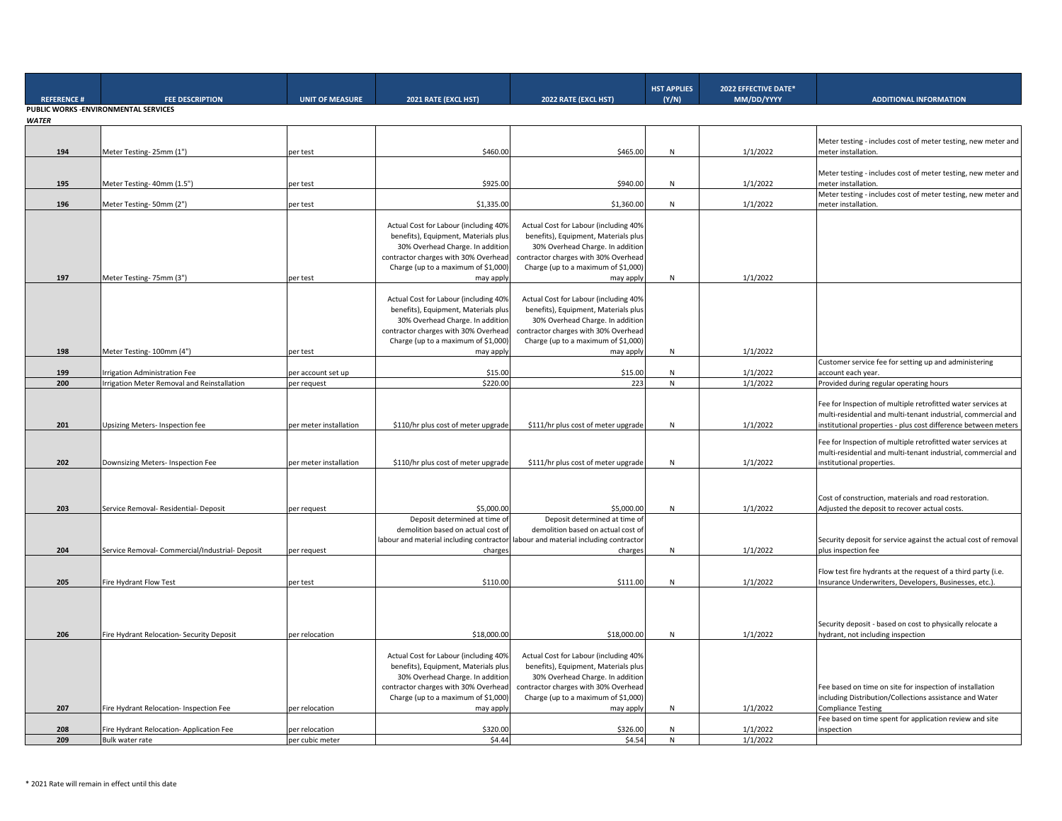| <b>REFERENCE#</b> | <b>FEE DESCRIPTION</b>                          | <b>UNIT OF MEASURE</b> | 2021 RATE (EXCL HST)                     | 2022 RATE (EXCL HST)                     | <b>HST APPLIES</b><br>(Y/N) | 2022 EFFECTIVE DATE*<br>MM/DD/YYYY | <b>ADDITIONAL INFORMATION</b>                                                        |
|-------------------|-------------------------------------------------|------------------------|------------------------------------------|------------------------------------------|-----------------------------|------------------------------------|--------------------------------------------------------------------------------------|
|                   | PUBLIC WORKS - ENVIRONMENTAL SERVICES           |                        |                                          |                                          |                             |                                    |                                                                                      |
| <b>WATER</b>      |                                                 |                        |                                          |                                          |                             |                                    |                                                                                      |
|                   |                                                 |                        |                                          |                                          |                             |                                    |                                                                                      |
| 194               | Meter Testing-25mm (1")                         | per test               | \$460.00                                 | \$465.00                                 | N                           | 1/1/2022                           | Meter testing - includes cost of meter testing, new meter and<br>meter installation. |
|                   |                                                 |                        |                                          |                                          |                             |                                    |                                                                                      |
|                   |                                                 |                        |                                          |                                          |                             |                                    | Meter testing - includes cost of meter testing, new meter and                        |
| 195               | Meter Testing- 40mm (1.5")                      | per test               | \$925.00                                 | \$940.00                                 | N                           | 1/1/2022                           | meter installation.                                                                  |
|                   |                                                 |                        |                                          |                                          |                             |                                    | Meter testing - includes cost of meter testing, new meter and                        |
| 196               | Meter Testing-50mm (2")                         | per test               | \$1,335.00                               | \$1,360.00                               | N.                          | 1/1/2022                           | meter installation.                                                                  |
|                   |                                                 |                        |                                          |                                          |                             |                                    |                                                                                      |
|                   |                                                 |                        | Actual Cost for Labour (including 40%    | Actual Cost for Labour (including 40%    |                             |                                    |                                                                                      |
|                   |                                                 |                        | benefits), Equipment, Materials plus     | benefits), Equipment, Materials plus     |                             |                                    |                                                                                      |
|                   |                                                 |                        | 30% Overhead Charge. In addition         | 30% Overhead Charge. In addition         |                             |                                    |                                                                                      |
|                   |                                                 |                        | contractor charges with 30% Overhead     | contractor charges with 30% Overhead     |                             |                                    |                                                                                      |
|                   |                                                 |                        | Charge (up to a maximum of \$1,000)      | Charge (up to a maximum of \$1,000)      |                             |                                    |                                                                                      |
| 197               | Meter Testing- 75mm (3")                        | per test               | may apply                                | may apply                                | N                           | 1/1/2022                           |                                                                                      |
|                   |                                                 |                        |                                          |                                          |                             |                                    |                                                                                      |
|                   |                                                 |                        | Actual Cost for Labour (including 40%    | Actual Cost for Labour (including 40%    |                             |                                    |                                                                                      |
|                   |                                                 |                        | benefits), Equipment, Materials plus     | benefits), Equipment, Materials plus     |                             |                                    |                                                                                      |
|                   |                                                 |                        | 30% Overhead Charge. In addition         | 30% Overhead Charge. In addition         |                             |                                    |                                                                                      |
|                   |                                                 |                        | contractor charges with 30% Overhead     | contractor charges with 30% Overhead     |                             |                                    |                                                                                      |
|                   |                                                 |                        | Charge (up to a maximum of \$1,000)      | Charge (up to a maximum of \$1,000)      |                             |                                    |                                                                                      |
| 198               | Meter Testing- 100mm (4")                       | per test               | may apply                                | may apply                                | N                           | 1/1/2022                           |                                                                                      |
|                   |                                                 |                        |                                          |                                          |                             |                                    | Customer service fee for setting up and administering                                |
| 199               | <b>Irrigation Administration Fee</b>            | per account set up     | \$15.00                                  | \$15.00                                  | N                           | 1/1/2022                           | account each year.                                                                   |
| 200               | rrigation Meter Removal and Reinstallation      | per request            | \$220.00                                 | 223                                      | N                           | 1/1/2022                           | Provided during regular operating hours                                              |
|                   |                                                 |                        |                                          |                                          |                             |                                    |                                                                                      |
|                   |                                                 |                        |                                          |                                          |                             |                                    | Fee for Inspection of multiple retrofitted water services at                         |
|                   |                                                 |                        |                                          |                                          |                             |                                    | multi-residential and multi-tenant industrial, commercial and                        |
| 201               | Upsizing Meters-Inspection fee                  | per meter installation | \$110/hr plus cost of meter upgrade      | \$111/hr plus cost of meter upgrade      | N                           | 1/1/2022                           | institutional properties - plus cost difference between meters                       |
|                   |                                                 |                        |                                          |                                          |                             |                                    |                                                                                      |
|                   |                                                 |                        |                                          |                                          |                             |                                    | Fee for Inspection of multiple retrofitted water services at                         |
|                   |                                                 |                        |                                          |                                          |                             |                                    | multi-residential and multi-tenant industrial, commercial and                        |
| 202               | Downsizing Meters- Inspection Fee               | per meter installation | \$110/hr plus cost of meter upgrade      | \$111/hr plus cost of meter upgrade      | N                           | 1/1/2022                           | institutional properties.                                                            |
|                   |                                                 |                        |                                          |                                          |                             |                                    |                                                                                      |
|                   |                                                 |                        |                                          |                                          |                             |                                    |                                                                                      |
|                   |                                                 |                        |                                          |                                          |                             |                                    | Cost of construction, materials and road restoration.                                |
| 203               | Service Removal- Residential- Deposit           | per request            | \$5,000.00                               | \$5,000.00                               | N                           | 1/1/2022                           | Adjusted the deposit to recover actual costs.                                        |
|                   |                                                 |                        | Deposit determined at time of            | Deposit determined at time of            |                             |                                    |                                                                                      |
|                   |                                                 |                        | demolition based on actual cost of       | demolition based on actual cost of       |                             |                                    |                                                                                      |
|                   |                                                 |                        | labour and material including contractor | labour and material including contractor |                             |                                    | Security deposit for service against the actual cost of removal                      |
| 204               | Service Removal- Commercial/Industrial- Deposit | per request            | charges                                  | charges                                  | N                           | 1/1/2022                           | plus inspection fee                                                                  |
|                   |                                                 |                        |                                          |                                          |                             |                                    |                                                                                      |
|                   |                                                 |                        |                                          |                                          |                             |                                    | Flow test fire hydrants at the request of a third party (i.e.                        |
| 205               | Fire Hydrant Flow Test                          | per test               | \$110.00                                 | \$111.00                                 | N                           | 1/1/2022                           | Insurance Underwriters, Developers, Businesses, etc.).                               |
|                   |                                                 |                        |                                          |                                          |                             |                                    |                                                                                      |
|                   |                                                 |                        |                                          |                                          |                             |                                    |                                                                                      |
|                   |                                                 |                        |                                          |                                          |                             |                                    |                                                                                      |
|                   |                                                 |                        |                                          |                                          |                             |                                    | Security deposit - based on cost to physically relocate a                            |
| 206               | Fire Hydrant Relocation- Security Deposit       | per relocation         | \$18,000.00                              | \$18,000.00                              | N                           | 1/1/2022                           | hydrant, not including inspection                                                    |
|                   |                                                 |                        |                                          |                                          |                             |                                    |                                                                                      |
|                   |                                                 |                        | Actual Cost for Labour (including 40%    | Actual Cost for Labour (including 40%    |                             |                                    |                                                                                      |
|                   |                                                 |                        | benefits), Equipment, Materials plus     | benefits), Equipment, Materials plus     |                             |                                    |                                                                                      |
|                   |                                                 |                        | 30% Overhead Charge. In addition         | 30% Overhead Charge. In addition         |                             |                                    |                                                                                      |
|                   |                                                 |                        |                                          |                                          |                             |                                    |                                                                                      |